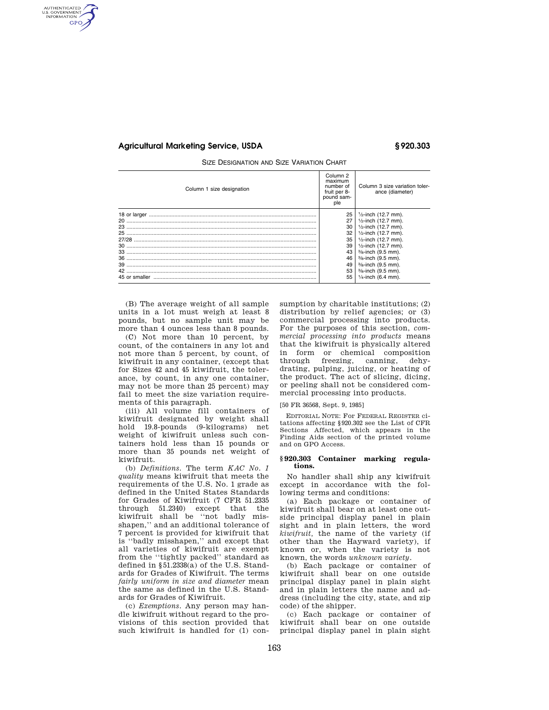## **Agricultural Marketing Service, USDA § 920.303**

AUTHENTICATED<br>U.S. GOVERNMENT<br>INFORMATION GPO

SIZE DESIGNATION AND SIZE VARIATION CHART

| Column 1 size designation | Column <sub>2</sub><br>maximum<br>number of<br>fruit per 8-<br>pound sam-<br>ple | Column 3 size variation toler-<br>ance (diameter) |
|---------------------------|----------------------------------------------------------------------------------|---------------------------------------------------|
|                           | 25                                                                               | $\frac{1}{2}$ -inch (12.7 mm).                    |
| 20                        | 27                                                                               | $1/2$ -inch (12.7 mm).                            |
| 23.                       | 30                                                                               | $1/2$ -inch (12.7 mm).                            |
| 25                        | 32                                                                               | 1/ <sub>2</sub> -inch (12.7 mm).                  |
|                           | 35                                                                               | 1/ <sub>2</sub> -inch (12.7 mm).                  |
| 30                        | 39                                                                               | $1/2$ -inch (12.7 mm).                            |
|                           | 43                                                                               | $\frac{3}{8}$ -inch (9.5 mm).                     |
| 36                        | 46                                                                               | 3/8-inch (9.5 mm).                                |
|                           | 49                                                                               | 3/8-inch (9.5 mm).                                |
|                           | 53                                                                               | $\frac{3}{8}$ -inch (9.5 mm).                     |
|                           | 55                                                                               | $1/4$ -inch (6.4 mm).                             |

(B) The average weight of all sample units in a lot must weigh at least 8 pounds, but no sample unit may be more than 4 ounces less than 8 pounds.

(C) Not more than 10 percent, by count, of the containers in any lot and not more than 5 percent, by count, of kiwifruit in any container, (except that for Sizes 42 and 45 kiwifruit, the tolerance, by count, in any one container, may not be more than 25 percent) may fail to meet the size variation requirements of this paragraph.

(iii) All volume fill containers of kiwifruit designated by weight shall hold 19.8-pounds (9-kilograms) net weight of kiwifruit unless such containers hold less than 15 pounds or more than 35 pounds net weight of kiwifruit.

(b) *Definitions.* The term *KAC No. 1 quality* means kiwifruit that meets the requirements of the U.S. No. 1 grade as defined in the United States Standards for Grades of Kiwifruit (7 CFR 51.2335 through 51.2340) except that the kiwifruit shall be ''not badly misshapen,'' and an additional tolerance of 7 percent is provided for kiwifruit that is ''badly misshapen,'' and except that all varieties of kiwifruit are exempt from the ''tightly packed'' standard as defined in §51.2338(a) of the U.S. Standards for Grades of Kiwifruit. The terms *fairly uniform in size and diameter* mean the same as defined in the U.S. Standards for Grades of Kiwifruit.

(c) *Exemptions.* Any person may handle kiwifruit without regard to the provisions of this section provided that such kiwifruit is handled for (1) consumption by charitable institutions; (2) distribution by relief agencies; or (3) commercial processing into products. For the purposes of this section, *commercial processing into products* means that the kiwifruit is physically altered in form or chemical composition through freezing, canning, dehydrating, pulping, juicing, or heating of the product. The act of slicing, dicing, or peeling shall not be considered commercial processing into products.

### [50 FR 36568, Sept. 9, 1985]

EDITORIAL NOTE: For FEDERAL REGISTER citations affecting §920.302 see the List of CFR Sections Affected, which appears in the Finding Aids section of the printed volume and on GPO Access.

#### **§ 920.303 Container marking regulations.**

No handler shall ship any kiwifruit except in accordance with the following terms and conditions:

(a) Each package or container of kiwifruit shall bear on at least one outside principal display panel in plain sight and in plain letters, the word *kiwifruit,* the name of the variety (if other than the Hayward variety), if known or, when the variety is not known, the words *unknown variety.* 

(b) Each package or container of kiwifruit shall bear on one outside principal display panel in plain sight and in plain letters the name and address (including the city, state, and zip code) of the shipper.

(c) Each package or container of kiwifruit shall bear on one outside principal display panel in plain sight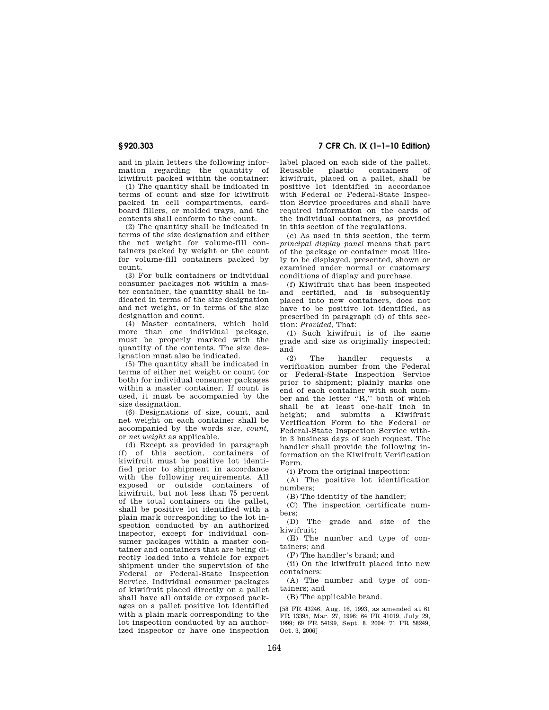and in plain letters the following information regarding the quantity of kiwifruit packed within the container:

(1) The quantity shall be indicated in terms of count and size for kiwifruit packed in cell compartments, cardboard fillers, or molded trays, and the contents shall conform to the count.

(2) The quantity shall be indicated in terms of the size designation and either the net weight for volume-fill containers packed by weight or the count for volume-fill containers packed by count.

(3) For bulk containers or individual consumer packages not within a master container, the quantity shall be indicated in terms of the size designation and net weight, or in terms of the size designation and count.

(4) Master containers, which hold more than one individual package, must be properly marked with the quantity of the contents. The size designation must also be indicated.

(5) The quantity shall be indicated in terms of either net weight or count (or both) for individual consumer packages within a master container. If count is used, it must be accompanied by the size designation.

(6) Designations of size, count, and net weight on each container shall be accompanied by the words *size, count,*  or *net weight* as applicable.

(d) Except as provided in paragraph (f) of this section, containers of kiwifruit must be positive lot identified prior to shipment in accordance with the following requirements. All exposed or outside containers of kiwifruit, but not less than 75 percent of the total containers on the pallet, shall be positive lot identified with a plain mark corresponding to the lot inspection conducted by an authorized inspector, except for individual consumer packages within a master container and containers that are being directly loaded into a vehicle for export shipment under the supervision of the Federal or Federal-State Inspection Service. Individual consumer packages of kiwifruit placed directly on a pallet shall have all outside or exposed packages on a pallet positive lot identified with a plain mark corresponding to the lot inspection conducted by an authorized inspector or have one inspection

**§ 920.303 7 CFR Ch. IX (1–1–10 Edition)** 

label placed on each side of the pallet. Reusable plastic containers of kiwifruit, placed on a pallet, shall be positive lot identified in accordance with Federal or Federal-State Inspection Service procedures and shall have required information on the cards of the individual containers, as provided in this section of the regulations.

(e) As used in this section, the term *principal display panel* means that part of the package or container most likely to be displayed, presented, shown or examined under normal or customary conditions of display and purchase.

(f) Kiwifruit that has been inspected and certified, and is subsequently placed into new containers, does not have to be positive lot identified, as prescribed in paragraph (d) of this section: *Provided,* That:

(1) Such kiwifruit is of the same grade and size as originally inspected; and

(2) The handler requests a verification number from the Federal or Federal-State Inspection Service prior to shipment; plainly marks one end of each container with such number and the letter ''R,'' both of which shall be at least one-half inch in height; and submits a Kiwifruit Verification Form to the Federal or Federal-State Inspection Service within 3 business days of such request. The handler shall provide the following information on the Kiwifruit Verification Form.

(i) From the original inspection:

(A) The positive lot identification numbers;

(B) The identity of the handler;

(C) The inspection certificate numbers;

(D) The grade and size of the kiwifruit;

(E) The number and type of containers; and

(F) The handler's brand; and

(ii) On the kiwifruit placed into new containers:

(A) The number and type of containers; and

(B) The applicable brand.

[58 FR 43246, Aug. 16, 1993, as amended at 61 FR 13395, Mar. 27, 1996; 64 FR 41019, July 29, 1999; 69 FR 54199, Sept. 8, 2004; 71 FR 58249, Oct. 3, 2006]